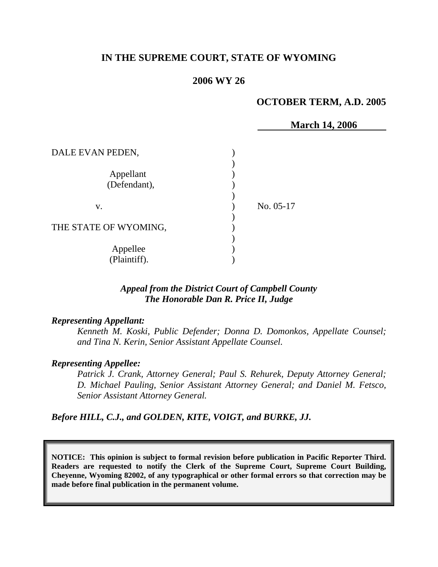# **IN THE SUPREME COURT, STATE OF WYOMING**

#### **2006 WY 26**

#### **OCTOBER TERM, A.D. 2005**

|                           | <b>March 14, 2006</b> |
|---------------------------|-----------------------|
| DALE EVAN PEDEN,          |                       |
| Appellant<br>(Defendant), |                       |
| V.                        | No. 05-17             |
| THE STATE OF WYOMING,     |                       |
| Appellee<br>(Plaintiff).  |                       |

### *Appeal from the District Court of Campbell County The Honorable Dan R. Price II, Judge*

#### *Representing Appellant:*

*Kenneth M. Koski, Public Defender; Donna D. Domonkos, Appellate Counsel; and Tina N. Kerin, Senior Assistant Appellate Counsel.* 

#### *Representing Appellee:*

*Patrick J. Crank, Attorney General; Paul S. Rehurek, Deputy Attorney General; D. Michael Pauling, Senior Assistant Attorney General; and Daniel M. Fetsco, Senior Assistant Attorney General.* 

*Before HILL, C.J., and GOLDEN, KITE, VOIGT, and BURKE, JJ.* 

**NOTICE: This opinion is subject to formal revision before publication in Pacific Reporter Third. Readers are requested to notify the Clerk of the Supreme Court, Supreme Court Building, Cheyenne, Wyoming 82002, of any typographical or other formal errors so that correction may be made before final publication in the permanent volume.**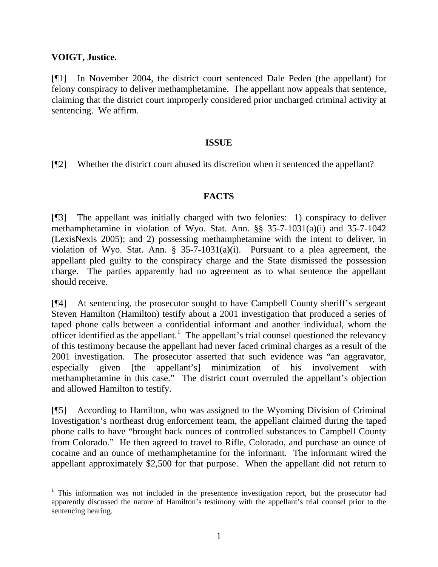## **VOIGT, Justice.**

[¶1] In November 2004, the district court sentenced Dale Peden (the appellant) for felony conspiracy to deliver methamphetamine. The appellant now appeals that sentence, claiming that the district court improperly considered prior uncharged criminal activity at sentencing. We affirm.

## **ISSUE**

[¶2] Whether the district court abused its discretion when it sentenced the appellant?

# **FACTS**

[¶3] The appellant was initially charged with two felonies: 1) conspiracy to deliver methamphetamine in violation of Wyo. Stat. Ann. §§ 35-7-1031(a)(i) and 35-7-1042 (LexisNexis 2005); and 2) possessing methamphetamine with the intent to deliver, in violation of Wyo. Stat. Ann.  $\S$  35-7-1031(a)(i). Pursuant to a plea agreement, the appellant pled guilty to the conspiracy charge and the State dismissed the possession charge. The parties apparently had no agreement as to what sentence the appellant should receive.

[¶4] At sentencing, the prosecutor sought to have Campbell County sheriff's sergeant Steven Hamilton (Hamilton) testify about a 2001 investigation that produced a series of taped phone calls between a confidential informant and another individual, whom the officer identified as the appellant.<sup>[1](#page-1-0)</sup> The appellant's trial counsel questioned the relevancy of this testimony because the appellant had never faced criminal charges as a result of the 2001 investigation. The prosecutor asserted that such evidence was "an aggravator, especially given [the appellant's] minimization of his involvement with methamphetamine in this case." The district court overruled the appellant's objection and allowed Hamilton to testify.

[¶5] According to Hamilton, who was assigned to the Wyoming Division of Criminal Investigation's northeast drug enforcement team, the appellant claimed during the taped phone calls to have "brought back ounces of controlled substances to Campbell County from Colorado." He then agreed to travel to Rifle, Colorado, and purchase an ounce of cocaine and an ounce of methamphetamine for the informant. The informant wired the appellant approximately \$2,500 for that purpose. When the appellant did not return to

<span id="page-1-0"></span><sup>&</sup>lt;sup>1</sup> This information was not included in the presentence investigation report, but the prosecutor had apparently discussed the nature of Hamilton's testimony with the appellant's trial counsel prior to the sentencing hearing.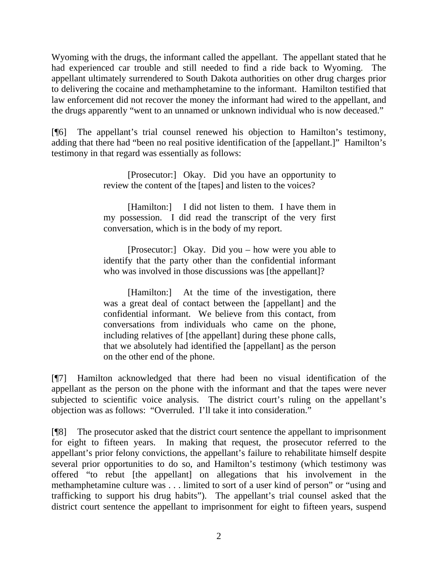Wyoming with the drugs, the informant called the appellant. The appellant stated that he had experienced car trouble and still needed to find a ride back to Wyoming. The appellant ultimately surrendered to South Dakota authorities on other drug charges prior to delivering the cocaine and methamphetamine to the informant. Hamilton testified that law enforcement did not recover the money the informant had wired to the appellant, and the drugs apparently "went to an unnamed or unknown individual who is now deceased."

[¶6] The appellant's trial counsel renewed his objection to Hamilton's testimony, adding that there had "been no real positive identification of the [appellant.]" Hamilton's testimony in that regard was essentially as follows:

> [Prosecutor:] Okay. Did you have an opportunity to review the content of the [tapes] and listen to the voices?

> [Hamilton:] I did not listen to them. I have them in my possession. I did read the transcript of the very first conversation, which is in the body of my report.

> [Prosecutor:] Okay. Did you – how were you able to identify that the party other than the confidential informant who was involved in those discussions was [the appellant]?

> [Hamilton:] At the time of the investigation, there was a great deal of contact between the [appellant] and the confidential informant. We believe from this contact, from conversations from individuals who came on the phone, including relatives of [the appellant] during these phone calls, that we absolutely had identified the [appellant] as the person on the other end of the phone.

[¶7] Hamilton acknowledged that there had been no visual identification of the appellant as the person on the phone with the informant and that the tapes were never subjected to scientific voice analysis. The district court's ruling on the appellant's objection was as follows: "Overruled. I'll take it into consideration."

[¶8] The prosecutor asked that the district court sentence the appellant to imprisonment for eight to fifteen years. In making that request, the prosecutor referred to the appellant's prior felony convictions, the appellant's failure to rehabilitate himself despite several prior opportunities to do so, and Hamilton's testimony (which testimony was offered "to rebut [the appellant] on allegations that his involvement in the methamphetamine culture was . . . limited to sort of a user kind of person" or "using and trafficking to support his drug habits"). The appellant's trial counsel asked that the district court sentence the appellant to imprisonment for eight to fifteen years, suspend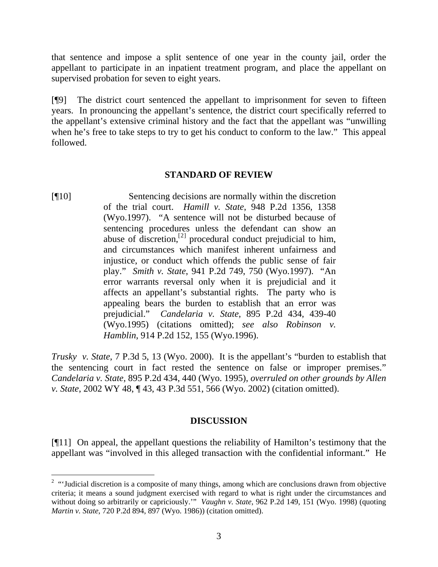that sentence and impose a split sentence of one year in the county jail, order the appellant to participate in an inpatient treatment program, and place the appellant on supervised probation for seven to eight years.

[¶9] The district court sentenced the appellant to imprisonment for seven to fifteen years. In pronouncing the appellant's sentence, the district court specifically referred to the appellant's extensive criminal history and the fact that the appellant was "unwilling when he's free to take steps to try to get his conduct to conform to the law." This appeal followed.

### **STANDARD OF REVIEW**

[¶10] Sentencing decisions are normally within the discretion of the trial court. *Hamill v. State*, 948 P.2d 1356, 1358 (Wyo.1997). "A sentence will not be disturbed because of sentencing procedures unless the defendant can show an abuse of discretion,<sup>[2]</sup> procedural conduct prejudicial to him, and circumstances which manifest inherent unfairness and injustice, or conduct which offends the public sense of fair play." *Smith v. State*, 941 P.2d 749, 750 (Wyo.1997). "An error warrants reversal only when it is prejudicial and it affects an appellant's substantial rights. The party who is appealing bears the burden to establish that an error was prejudicial." *Candelaria v. State*, 895 P.2d 434, 439-40 (Wyo.1995) (citations omitted); *see also Robinson v. Hamblin*, 914 P.2d 152, 155 (Wyo.1996).

*Trusky v. State*, 7 P.3d 5, 13 (Wyo. 2000). It is the appellant's "burden to establish that the sentencing court in fact rested the sentence on false or improper premises." *Candelaria v. State*, 895 P.2d 434, 440 (Wyo. 1995), *overruled on other grounds by Allen v. State*, 2002 WY 48, ¶ 43, 43 P.3d 551, 566 (Wyo. 2002) (citation omitted).

### **DISCUSSION**

[¶11] On appeal, the appellant questions the reliability of Hamilton's testimony that the appellant was "involved in this alleged transaction with the confidential informant." He

<span id="page-3-0"></span><sup>&</sup>lt;sup>2</sup> "Judicial discretion is a composite of many things, among which are conclusions drawn from objective criteria; it means a sound judgment exercised with regard to what is right under the circumstances and without doing so arbitrarily or capriciously.'" *Vaughn v. State*, 962 P.2d 149, 151 (Wyo. 1998) (quoting *Martin v. State*, 720 P.2d 894, 897 (Wyo. 1986)) (citation omitted).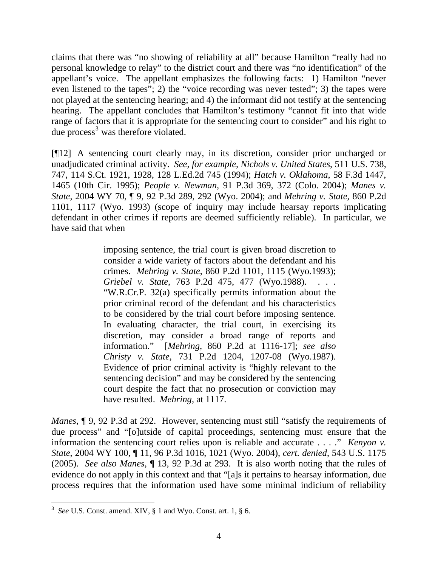claims that there was "no showing of reliability at all" because Hamilton "really had no personal knowledge to relay" to the district court and there was "no identification" of the appellant's voice. The appellant emphasizes the following facts: 1) Hamilton "never even listened to the tapes"; 2) the "voice recording was never tested"; 3) the tapes were not played at the sentencing hearing; and 4) the informant did not testify at the sentencing hearing. The appellant concludes that Hamilton's testimony "cannot fit into that wide range of factors that it is appropriate for the sentencing court to consider" and his right to due process<sup>[3](#page-4-0)</sup> was therefore violated.

[¶12] A sentencing court clearly may, in its discretion, consider prior uncharged or unadjudicated criminal activity. *See, for example, Nichols v. United States*, 511 U.S. 738, 747, 114 S.Ct. 1921, 1928, 128 L.Ed.2d 745 (1994); *Hatch v. Oklahoma*, 58 F.3d 1447, 1465 (10th Cir. 1995); *People v. Newman*, 91 P.3d 369, 372 (Colo. 2004); *Manes v. State*, 2004 WY 70, ¶ 9, 92 P.3d 289, 292 (Wyo. 2004); and *Mehring v. State*, 860 P.2d 1101, 1117 (Wyo. 1993) (scope of inquiry may include hearsay reports implicating defendant in other crimes if reports are deemed sufficiently reliable). In particular, we have said that when

> imposing sentence, the trial court is given broad discretion to consider a wide variety of factors about the defendant and his crimes. *Mehring v. State*, 860 P.2d 1101, 1115 (Wyo.1993); *Griebel v. State*, 763 P.2d 475, 477 (Wyo.1988). . . . "W.R.Cr.P. 32(a) specifically permits information about the prior criminal record of the defendant and his characteristics to be considered by the trial court before imposing sentence. In evaluating character, the trial court, in exercising its discretion, may consider a broad range of reports and information." [*Mehring*, 860 P.2d at 1116-17]; *see also Christy v. State*, 731 P.2d 1204, 1207-08 (Wyo.1987). Evidence of prior criminal activity is "highly relevant to the sentencing decision" and may be considered by the sentencing court despite the fact that no prosecution or conviction may have resulted. *Mehring*, at 1117.

*Manes*,  $\lceil 9, 92 \rceil$  *P.3d at 292. However, sentencing must still "satisfy the requirements of* due process" and "[o]utside of capital proceedings, sentencing must ensure that the information the sentencing court relies upon is reliable and accurate . . . ." *Kenyon v. State*, 2004 WY 100, ¶ 11, 96 P.3d 1016, 1021 (Wyo. 2004), *cert. denied*, 543 U.S. 1175 (2005). *See also Manes*, ¶ 13, 92 P.3d at 293. It is also worth noting that the rules of evidence do not apply in this context and that "[a]s it pertains to hearsay information, due process requires that the information used have some minimal indicium of reliability

<span id="page-4-0"></span><sup>&</sup>lt;sup>3</sup> See U.S. Const. amend. XIV, § 1 and Wyo. Const. art. 1, § 6.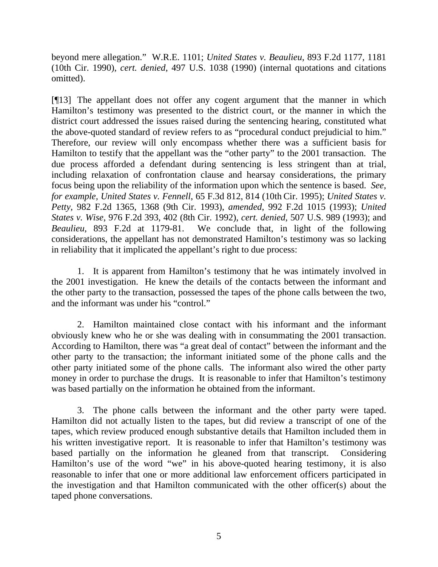beyond mere allegation." W.R.E. 1101; *United States v. Beaulieu*, 893 F.2d 1177, 1181 (10th Cir. 1990), *cert. denied*, 497 U.S. 1038 (1990) (internal quotations and citations omitted).

[¶13] The appellant does not offer any cogent argument that the manner in which Hamilton's testimony was presented to the district court, or the manner in which the district court addressed the issues raised during the sentencing hearing, constituted what the above-quoted standard of review refers to as "procedural conduct prejudicial to him." Therefore, our review will only encompass whether there was a sufficient basis for Hamilton to testify that the appellant was the "other party" to the 2001 transaction. The due process afforded a defendant during sentencing is less stringent than at trial, including relaxation of confrontation clause and hearsay considerations, the primary focus being upon the reliability of the information upon which the sentence is based. *See, for example, United States v. Fennell*, 65 F.3d 812, 814 (10th Cir. 1995); *United States v. Petty*, 982 F.2d 1365, 1368 (9th Cir. 1993), *amended*, 992 F.2d 1015 (1993); *United States v. Wise*, 976 F.2d 393, 402 (8th Cir. 1992), *cert. denied*, 507 U.S. 989 (1993); and *Beaulieu*, 893 F.2d at 1179-81. We conclude that, in light of the following considerations, the appellant has not demonstrated Hamilton's testimony was so lacking in reliability that it implicated the appellant's right to due process:

1. It is apparent from Hamilton's testimony that he was intimately involved in the 2001 investigation. He knew the details of the contacts between the informant and the other party to the transaction, possessed the tapes of the phone calls between the two, and the informant was under his "control."

2. Hamilton maintained close contact with his informant and the informant obviously knew who he or she was dealing with in consummating the 2001 transaction. According to Hamilton, there was "a great deal of contact" between the informant and the other party to the transaction; the informant initiated some of the phone calls and the other party initiated some of the phone calls. The informant also wired the other party money in order to purchase the drugs. It is reasonable to infer that Hamilton's testimony was based partially on the information he obtained from the informant.

3. The phone calls between the informant and the other party were taped. Hamilton did not actually listen to the tapes, but did review a transcript of one of the tapes, which review produced enough substantive details that Hamilton included them in his written investigative report. It is reasonable to infer that Hamilton's testimony was based partially on the information he gleaned from that transcript. Considering Hamilton's use of the word "we" in his above-quoted hearing testimony, it is also reasonable to infer that one or more additional law enforcement officers participated in the investigation and that Hamilton communicated with the other officer(s) about the taped phone conversations.